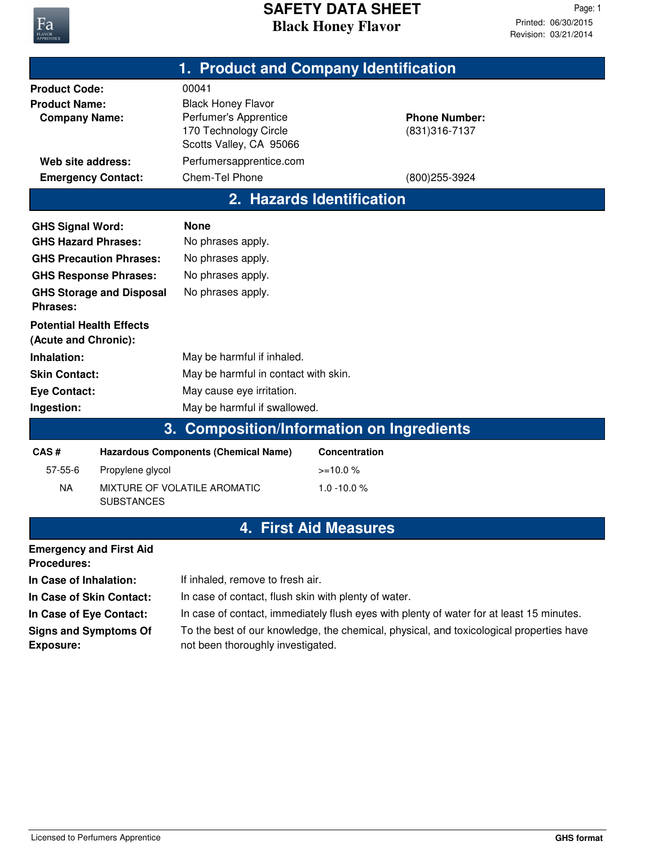

## **Black Honey Flavor SAFETY DATA SHEET**

Revision: 03/21/2014 Printed: 06/30/2015 Page: 1

|                                                                                                                                                                        |                                             | 1. Product and Company Identification                                                                                                                        |                           |                                                             |  |  |
|------------------------------------------------------------------------------------------------------------------------------------------------------------------------|---------------------------------------------|--------------------------------------------------------------------------------------------------------------------------------------------------------------|---------------------------|-------------------------------------------------------------|--|--|
| <b>Product Code:</b><br><b>Product Name:</b><br><b>Company Name:</b><br>Web site address:<br><b>Emergency Contact:</b>                                                 |                                             | 00041<br><b>Black Honey Flavor</b><br>Perfumer's Apprentice<br>170 Technology Circle<br>Scotts Valley, CA 95066<br>Perfumersapprentice.com<br>Chem-Tel Phone |                           | <b>Phone Number:</b><br>(831) 316-7137<br>$(800)255 - 3924$ |  |  |
|                                                                                                                                                                        |                                             |                                                                                                                                                              | 2. Hazards Identification |                                                             |  |  |
| <b>GHS Signal Word:</b><br><b>GHS Hazard Phrases:</b><br><b>GHS Precaution Phrases:</b><br><b>GHS Response Phrases:</b><br><b>GHS Storage and Disposal</b><br>Phrases: |                                             | <b>None</b><br>No phrases apply.<br>No phrases apply.<br>No phrases apply.<br>No phrases apply.                                                              |                           |                                                             |  |  |
| <b>Potential Health Effects</b><br>(Acute and Chronic):                                                                                                                |                                             |                                                                                                                                                              |                           |                                                             |  |  |
| Inhalation:                                                                                                                                                            |                                             | May be harmful if inhaled.                                                                                                                                   |                           |                                                             |  |  |
| <b>Skin Contact:</b><br><b>Eye Contact:</b>                                                                                                                            |                                             | May be harmful in contact with skin.<br>May cause eye irritation.                                                                                            |                           |                                                             |  |  |
| Ingestion:                                                                                                                                                             |                                             | May be harmful if swallowed.                                                                                                                                 |                           |                                                             |  |  |
| 3. Composition/Information on Ingredients                                                                                                                              |                                             |                                                                                                                                                              |                           |                                                             |  |  |
| CAS#                                                                                                                                                                   | <b>Hazardous Components (Chemical Name)</b> |                                                                                                                                                              | Concentration             |                                                             |  |  |
| $57 - 55 - 6$                                                                                                                                                          | Propylene glycol                            |                                                                                                                                                              | $>=10.0%$                 |                                                             |  |  |
| <b>NA</b>                                                                                                                                                              | <b>SUBSTANCES</b>                           | MIXTURE OF VOLATILE AROMATIC                                                                                                                                 | $1.0 - 10.0 %$            |                                                             |  |  |
| <b>First Aid Measures</b><br>4                                                                                                                                         |                                             |                                                                                                                                                              |                           |                                                             |  |  |
| <b>Emergency and First Aid</b><br><b>Procedures:</b>                                                                                                                   |                                             |                                                                                                                                                              |                           |                                                             |  |  |
| In Case of Inhalation:                                                                                                                                                 |                                             | If inhaled, remove to fresh air.                                                                                                                             |                           |                                                             |  |  |
| In Case of Skin Contact:                                                                                                                                               |                                             | In case of contact, flush skin with plenty of water.                                                                                                         |                           |                                                             |  |  |
| In Case of Eye Contact:                                                                                                                                                |                                             | In case of contact, immediately flush eyes with plenty of water for at least 15 minutes.                                                                     |                           |                                                             |  |  |
| <b>Signs and Symptoms Of</b><br><b>Exposure:</b>                                                                                                                       |                                             | To the best of our knowledge, the chemical, physical, and toxicological properties have<br>not been thoroughly investigated.                                 |                           |                                                             |  |  |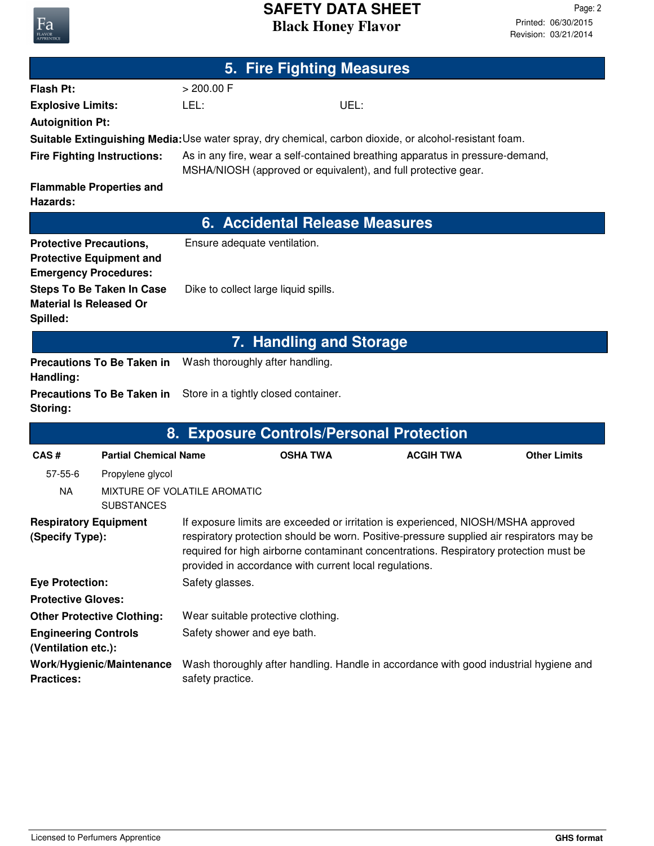## **Black Honey Flavor SAFETY DATA SHEET**

| 5. Fire Fighting Measures                                                                         |                                   |                                                                                                                                                                                                                                                                                                                                  |                 |                                                                                                         |                     |  |
|---------------------------------------------------------------------------------------------------|-----------------------------------|----------------------------------------------------------------------------------------------------------------------------------------------------------------------------------------------------------------------------------------------------------------------------------------------------------------------------------|-----------------|---------------------------------------------------------------------------------------------------------|---------------------|--|
| <b>Flash Pt:</b>                                                                                  |                                   | > 200.00 F                                                                                                                                                                                                                                                                                                                       |                 |                                                                                                         |                     |  |
| <b>Explosive Limits:</b>                                                                          |                                   | LEL:                                                                                                                                                                                                                                                                                                                             |                 | UEL:                                                                                                    |                     |  |
| <b>Autoignition Pt:</b>                                                                           |                                   |                                                                                                                                                                                                                                                                                                                                  |                 |                                                                                                         |                     |  |
|                                                                                                   |                                   |                                                                                                                                                                                                                                                                                                                                  |                 | Suitable Extinguishing Media: Use water spray, dry chemical, carbon dioxide, or alcohol-resistant foam. |                     |  |
| <b>Fire Fighting Instructions:</b>                                                                |                                   | As in any fire, wear a self-contained breathing apparatus in pressure-demand,<br>MSHA/NIOSH (approved or equivalent), and full protective gear.                                                                                                                                                                                  |                 |                                                                                                         |                     |  |
| <b>Flammable Properties and</b><br>Hazards:                                                       |                                   |                                                                                                                                                                                                                                                                                                                                  |                 |                                                                                                         |                     |  |
|                                                                                                   |                                   |                                                                                                                                                                                                                                                                                                                                  |                 | 6. Accidental Release Measures                                                                          |                     |  |
| <b>Protective Precautions,</b><br><b>Protective Equipment and</b><br><b>Emergency Procedures:</b> |                                   | Ensure adequate ventilation.                                                                                                                                                                                                                                                                                                     |                 |                                                                                                         |                     |  |
| <b>Steps To Be Taken In Case</b><br><b>Material Is Released Or</b><br>Spilled:                    |                                   | Dike to collect large liquid spills.                                                                                                                                                                                                                                                                                             |                 |                                                                                                         |                     |  |
| 7. Handling and Storage                                                                           |                                   |                                                                                                                                                                                                                                                                                                                                  |                 |                                                                                                         |                     |  |
| Handling:                                                                                         | <b>Precautions To Be Taken in</b> | Wash thoroughly after handling.                                                                                                                                                                                                                                                                                                  |                 |                                                                                                         |                     |  |
| Storing:                                                                                          | <b>Precautions To Be Taken in</b> | Store in a tightly closed container.                                                                                                                                                                                                                                                                                             |                 |                                                                                                         |                     |  |
|                                                                                                   |                                   |                                                                                                                                                                                                                                                                                                                                  |                 | 8. Exposure Controls/Personal Protection                                                                |                     |  |
| CAS#                                                                                              | <b>Partial Chemical Name</b>      |                                                                                                                                                                                                                                                                                                                                  | <b>OSHA TWA</b> | <b>ACGIH TWA</b>                                                                                        | <b>Other Limits</b> |  |
| $57 - 55 - 6$                                                                                     | Propylene glycol                  |                                                                                                                                                                                                                                                                                                                                  |                 |                                                                                                         |                     |  |
| <b>NA</b>                                                                                         | <b>SUBSTANCES</b>                 | MIXTURE OF VOLATILE AROMATIC                                                                                                                                                                                                                                                                                                     |                 |                                                                                                         |                     |  |
| <b>Respiratory Equipment</b><br>(Specify Type):                                                   |                                   | If exposure limits are exceeded or irritation is experienced, NIOSH/MSHA approved<br>respiratory protection should be worn. Positive-pressure supplied air respirators may be<br>required for high airborne contaminant concentrations. Respiratory protection must be<br>provided in accordance with current local regulations. |                 |                                                                                                         |                     |  |
| <b>Eye Protection:</b>                                                                            |                                   | Safety glasses.                                                                                                                                                                                                                                                                                                                  |                 |                                                                                                         |                     |  |
| <b>Protective Gloves:</b>                                                                         |                                   |                                                                                                                                                                                                                                                                                                                                  |                 |                                                                                                         |                     |  |
| <b>Other Protective Clothing:</b>                                                                 |                                   | Wear suitable protective clothing.                                                                                                                                                                                                                                                                                               |                 |                                                                                                         |                     |  |
| <b>Engineering Controls</b><br>(Ventilation etc.):                                                |                                   | Safety shower and eye bath.                                                                                                                                                                                                                                                                                                      |                 |                                                                                                         |                     |  |
| Work/Hygienic/Maintenance<br><b>Practices:</b>                                                    |                                   | Wash thoroughly after handling. Handle in accordance with good industrial hygiene and<br>safety practice.                                                                                                                                                                                                                        |                 |                                                                                                         |                     |  |

Fa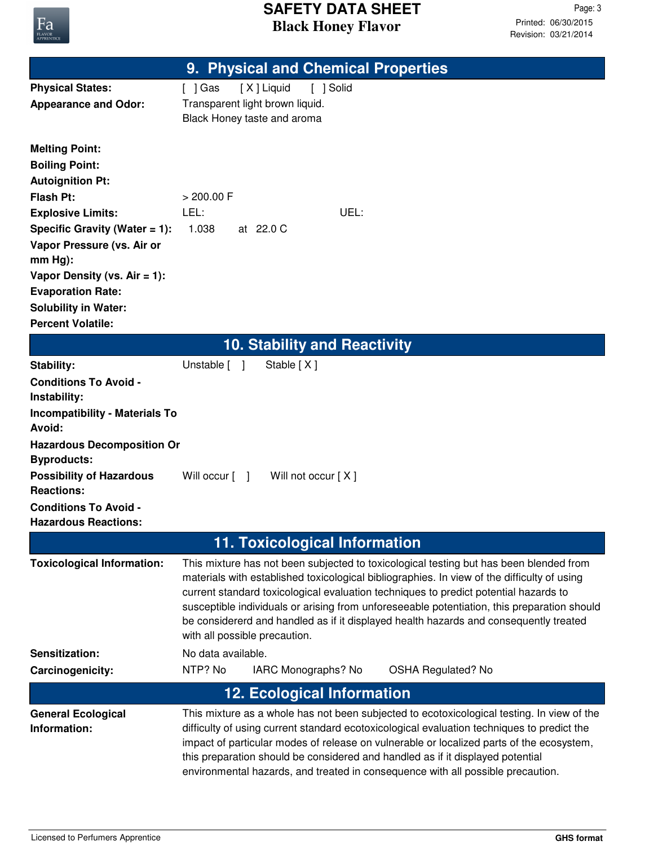

## **Black Honey Flavor SAFETY DATA SHEET**

|                                                         | 9. Physical and Chemical Properties                                                                                                                                                                                                                                                                                                                                                                                                                                                                    |  |  |
|---------------------------------------------------------|--------------------------------------------------------------------------------------------------------------------------------------------------------------------------------------------------------------------------------------------------------------------------------------------------------------------------------------------------------------------------------------------------------------------------------------------------------------------------------------------------------|--|--|
| <b>Physical States:</b>                                 | [X] Liquid<br>[ ] Solid<br>$[$ ] Gas                                                                                                                                                                                                                                                                                                                                                                                                                                                                   |  |  |
| <b>Appearance and Odor:</b>                             | Transparent light brown liquid.                                                                                                                                                                                                                                                                                                                                                                                                                                                                        |  |  |
|                                                         | Black Honey taste and aroma                                                                                                                                                                                                                                                                                                                                                                                                                                                                            |  |  |
| <b>Melting Point:</b>                                   |                                                                                                                                                                                                                                                                                                                                                                                                                                                                                                        |  |  |
| <b>Boiling Point:</b>                                   |                                                                                                                                                                                                                                                                                                                                                                                                                                                                                                        |  |  |
| <b>Autoignition Pt:</b>                                 |                                                                                                                                                                                                                                                                                                                                                                                                                                                                                                        |  |  |
| <b>Flash Pt:</b>                                        | $> 200.00$ F                                                                                                                                                                                                                                                                                                                                                                                                                                                                                           |  |  |
| <b>Explosive Limits:</b>                                | LEL:<br>UEL:                                                                                                                                                                                                                                                                                                                                                                                                                                                                                           |  |  |
| Specific Gravity (Water $= 1$ ):                        | 1.038<br>at 22.0 C                                                                                                                                                                                                                                                                                                                                                                                                                                                                                     |  |  |
| Vapor Pressure (vs. Air or                              |                                                                                                                                                                                                                                                                                                                                                                                                                                                                                                        |  |  |
| $mm Hg$ :                                               |                                                                                                                                                                                                                                                                                                                                                                                                                                                                                                        |  |  |
| Vapor Density (vs. $Air = 1$ ):                         |                                                                                                                                                                                                                                                                                                                                                                                                                                                                                                        |  |  |
| <b>Evaporation Rate:</b><br><b>Solubility in Water:</b> |                                                                                                                                                                                                                                                                                                                                                                                                                                                                                                        |  |  |
| <b>Percent Volatile:</b>                                |                                                                                                                                                                                                                                                                                                                                                                                                                                                                                                        |  |  |
|                                                         | <b>10. Stability and Reactivity</b>                                                                                                                                                                                                                                                                                                                                                                                                                                                                    |  |  |
| <b>Stability:</b>                                       | Unstable [ ]<br>Stable [X]                                                                                                                                                                                                                                                                                                                                                                                                                                                                             |  |  |
| <b>Conditions To Avoid -</b>                            |                                                                                                                                                                                                                                                                                                                                                                                                                                                                                                        |  |  |
| Instability:                                            |                                                                                                                                                                                                                                                                                                                                                                                                                                                                                                        |  |  |
| <b>Incompatibility - Materials To</b>                   |                                                                                                                                                                                                                                                                                                                                                                                                                                                                                                        |  |  |
| Avoid:                                                  |                                                                                                                                                                                                                                                                                                                                                                                                                                                                                                        |  |  |
| <b>Hazardous Decomposition Or</b><br><b>Byproducts:</b> |                                                                                                                                                                                                                                                                                                                                                                                                                                                                                                        |  |  |
| <b>Possibility of Hazardous</b><br><b>Reactions:</b>    | Will not occur [X]<br>Will occur $\lceil \quad \rceil$                                                                                                                                                                                                                                                                                                                                                                                                                                                 |  |  |
| <b>Conditions To Avoid -</b>                            |                                                                                                                                                                                                                                                                                                                                                                                                                                                                                                        |  |  |
| <b>Hazardous Reactions:</b>                             |                                                                                                                                                                                                                                                                                                                                                                                                                                                                                                        |  |  |
| <b>11. Toxicological Information</b>                    |                                                                                                                                                                                                                                                                                                                                                                                                                                                                                                        |  |  |
| <b>Toxicological Information:</b>                       | This mixture has not been subjected to toxicological testing but has been blended from<br>materials with established toxicological bibliographies. In view of the difficulty of using<br>current standard toxicological evaluation techniques to predict potential hazards to<br>susceptible individuals or arising from unforeseeable potentiation, this preparation should<br>be considererd and handled as if it displayed health hazards and consequently treated<br>with all possible precaution. |  |  |
| Sensitization:                                          | No data available.                                                                                                                                                                                                                                                                                                                                                                                                                                                                                     |  |  |
| Carcinogenicity:                                        | NTP? No<br>IARC Monographs? No<br><b>OSHA Regulated? No</b>                                                                                                                                                                                                                                                                                                                                                                                                                                            |  |  |
|                                                         | <b>12. Ecological Information</b>                                                                                                                                                                                                                                                                                                                                                                                                                                                                      |  |  |
| <b>General Ecological</b><br>Information:               | This mixture as a whole has not been subjected to ecotoxicological testing. In view of the<br>difficulty of using current standard ecotoxicological evaluation techniques to predict the<br>impact of particular modes of release on vulnerable or localized parts of the ecosystem,<br>this preparation should be considered and handled as if it displayed potential<br>environmental hazards, and treated in consequence with all possible precaution.                                              |  |  |
|                                                         |                                                                                                                                                                                                                                                                                                                                                                                                                                                                                                        |  |  |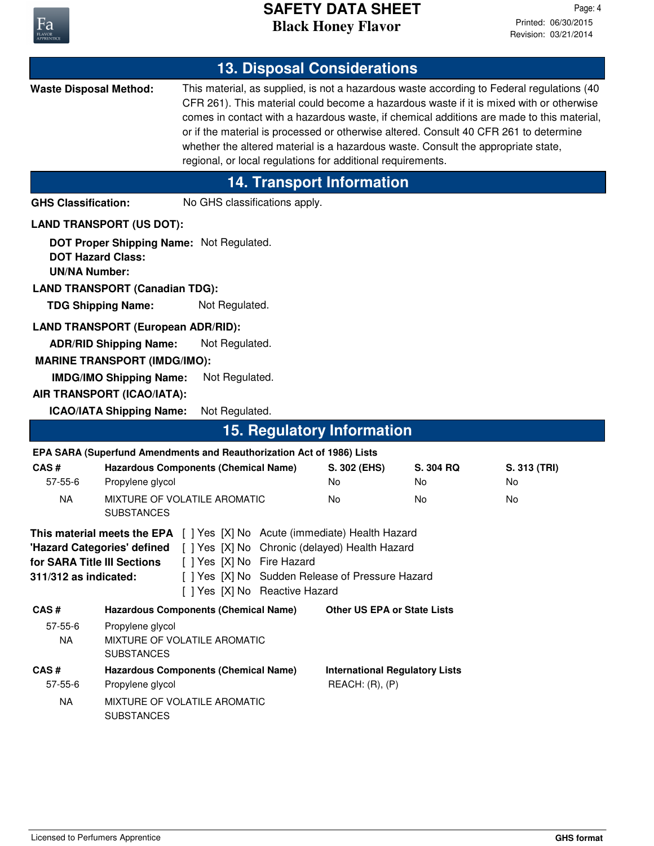

|                                                                                                                                                                                                                                                                                                                                             |                                                                                                                             |                                                                       |  | <b>13. Disposal Considerations</b>                          |                                                                                   |                                                                                                                                                                                                                                                                                                                                                                            |
|---------------------------------------------------------------------------------------------------------------------------------------------------------------------------------------------------------------------------------------------------------------------------------------------------------------------------------------------|-----------------------------------------------------------------------------------------------------------------------------|-----------------------------------------------------------------------|--|-------------------------------------------------------------|-----------------------------------------------------------------------------------|----------------------------------------------------------------------------------------------------------------------------------------------------------------------------------------------------------------------------------------------------------------------------------------------------------------------------------------------------------------------------|
| <b>Waste Disposal Method:</b>                                                                                                                                                                                                                                                                                                               |                                                                                                                             |                                                                       |  | regional, or local regulations for additional requirements. | whether the altered material is a hazardous waste. Consult the appropriate state, | This material, as supplied, is not a hazardous waste according to Federal regulations (40<br>CFR 261). This material could become a hazardous waste if it is mixed with or otherwise<br>comes in contact with a hazardous waste, if chemical additions are made to this material,<br>or if the material is processed or otherwise altered. Consult 40 CFR 261 to determine |
|                                                                                                                                                                                                                                                                                                                                             |                                                                                                                             |                                                                       |  | <b>14. Transport Information</b>                            |                                                                                   |                                                                                                                                                                                                                                                                                                                                                                            |
| <b>GHS Classification:</b>                                                                                                                                                                                                                                                                                                                  |                                                                                                                             | No GHS classifications apply.                                         |  |                                                             |                                                                                   |                                                                                                                                                                                                                                                                                                                                                                            |
|                                                                                                                                                                                                                                                                                                                                             | <b>LAND TRANSPORT (US DOT):</b>                                                                                             |                                                                       |  |                                                             |                                                                                   |                                                                                                                                                                                                                                                                                                                                                                            |
| <b>DOT Hazard Class:</b><br><b>UN/NA Number:</b>                                                                                                                                                                                                                                                                                            | <b>LAND TRANSPORT (Canadian TDG):</b>                                                                                       | DOT Proper Shipping Name: Not Regulated.                              |  |                                                             |                                                                                   |                                                                                                                                                                                                                                                                                                                                                                            |
|                                                                                                                                                                                                                                                                                                                                             | <b>TDG Shipping Name:</b>                                                                                                   | Not Regulated.                                                        |  |                                                             |                                                                                   |                                                                                                                                                                                                                                                                                                                                                                            |
|                                                                                                                                                                                                                                                                                                                                             | <b>LAND TRANSPORT (European ADR/RID):</b><br><b>ADR/RID Shipping Name:</b>                                                  | Not Regulated.                                                        |  |                                                             |                                                                                   |                                                                                                                                                                                                                                                                                                                                                                            |
|                                                                                                                                                                                                                                                                                                                                             | <b>MARINE TRANSPORT (IMDG/IMO):</b>                                                                                         |                                                                       |  |                                                             |                                                                                   |                                                                                                                                                                                                                                                                                                                                                                            |
|                                                                                                                                                                                                                                                                                                                                             | <b>IMDG/IMO Shipping Name:</b>                                                                                              | Not Regulated.                                                        |  |                                                             |                                                                                   |                                                                                                                                                                                                                                                                                                                                                                            |
|                                                                                                                                                                                                                                                                                                                                             | AIR TRANSPORT (ICAO/IATA):                                                                                                  |                                                                       |  |                                                             |                                                                                   |                                                                                                                                                                                                                                                                                                                                                                            |
|                                                                                                                                                                                                                                                                                                                                             | <b>ICAO/IATA Shipping Name:</b>                                                                                             | Not Regulated.                                                        |  |                                                             |                                                                                   |                                                                                                                                                                                                                                                                                                                                                                            |
|                                                                                                                                                                                                                                                                                                                                             |                                                                                                                             |                                                                       |  | <b>15. Regulatory Information</b>                           |                                                                                   |                                                                                                                                                                                                                                                                                                                                                                            |
|                                                                                                                                                                                                                                                                                                                                             |                                                                                                                             | EPA SARA (Superfund Amendments and Reauthorization Act of 1986) Lists |  |                                                             |                                                                                   |                                                                                                                                                                                                                                                                                                                                                                            |
| CAS#<br>$57 - 55 - 6$                                                                                                                                                                                                                                                                                                                       | Propylene glycol                                                                                                            | <b>Hazardous Components (Chemical Name)</b>                           |  | S. 302 (EHS)<br>No                                          | S. 304 RQ<br>No                                                                   | S. 313 (TRI)<br>No                                                                                                                                                                                                                                                                                                                                                         |
| <b>NA</b>                                                                                                                                                                                                                                                                                                                                   | <b>SUBSTANCES</b>                                                                                                           | MIXTURE OF VOLATILE AROMATIC                                          |  | No                                                          | No                                                                                | No                                                                                                                                                                                                                                                                                                                                                                         |
| <b>This material meets the EPA</b> [ ] Yes [X] No Acute (immediate) Health Hazard<br>"Hazard Categories' defined [ ] Yes [X] No Chronic (delayed) Health Hazard<br>[ ] Yes [X] No Fire Hazard<br>for SARA Title III Sections<br>[ ] Yes [X] No Sudden Release of Pressure Hazard<br>311/312 as indicated:<br>[ ] Yes [X] No Reactive Hazard |                                                                                                                             |                                                                       |  |                                                             |                                                                                   |                                                                                                                                                                                                                                                                                                                                                                            |
| CAS#                                                                                                                                                                                                                                                                                                                                        |                                                                                                                             | <b>Hazardous Components (Chemical Name)</b>                           |  | <b>Other US EPA or State Lists</b>                          |                                                                                   |                                                                                                                                                                                                                                                                                                                                                                            |
| $57 - 55 - 6$<br><b>NA</b>                                                                                                                                                                                                                                                                                                                  | Propylene glycol<br><b>SUBSTANCES</b>                                                                                       | MIXTURE OF VOLATILE AROMATIC                                          |  |                                                             |                                                                                   |                                                                                                                                                                                                                                                                                                                                                                            |
| CAS#<br>$57 - 55 - 6$                                                                                                                                                                                                                                                                                                                       | <b>Hazardous Components (Chemical Name)</b><br><b>International Regulatory Lists</b><br>REACH: (R), (P)<br>Propylene glycol |                                                                       |  |                                                             |                                                                                   |                                                                                                                                                                                                                                                                                                                                                                            |
| <b>NA</b>                                                                                                                                                                                                                                                                                                                                   | <b>SUBSTANCES</b>                                                                                                           | MIXTURE OF VOLATILE AROMATIC                                          |  |                                                             |                                                                                   |                                                                                                                                                                                                                                                                                                                                                                            |